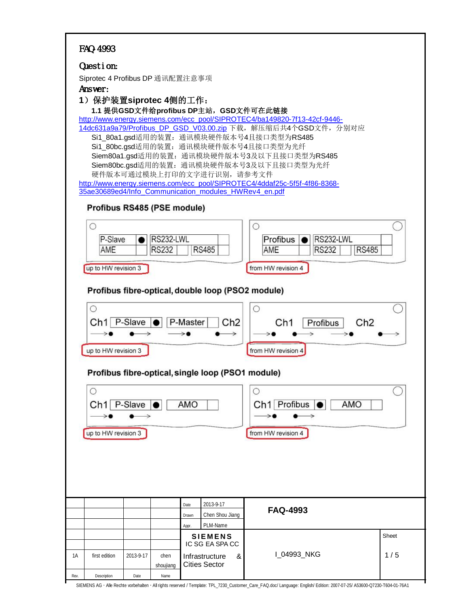| Sheet |
|-------|
|       |
| 1/5   |
|       |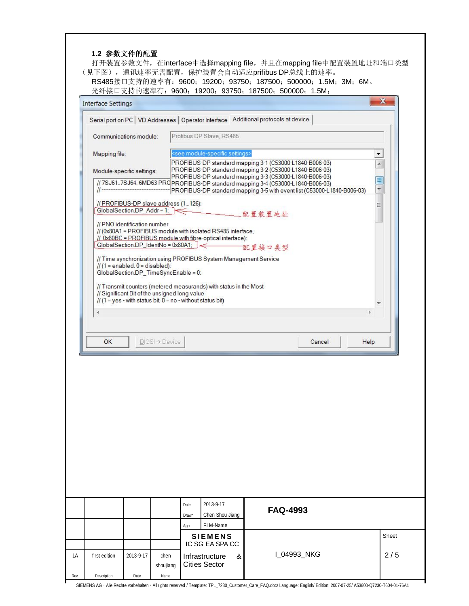|  | 1.2 参数文件的配置 |  |
|--|-------------|--|
|--|-------------|--|

打开装置参数文件, 在interface中选择mapping file, 并且在mapping file中配置装置地址和端口类型 (见下图), 通讯速率无需配置, 保护装置会自动适应prifibus DP总线上的速率。

RS485接口支持的速率有: 9600; 19200; 93750; 187500; 500000; 1.5M; 3M; 6M。 光纤接口支持的速率有: 9600; 19200; 93750; 187500; 500000; 1.5M;

| <b>Interface Settings</b> |                                                                           |                   |                                                                                                                                                              |                 |        |                               |
|---------------------------|---------------------------------------------------------------------------|-------------------|--------------------------------------------------------------------------------------------------------------------------------------------------------------|-----------------|--------|-------------------------------|
|                           |                                                                           |                   | Serial port on PC   VD Addresses   Operator Interface Additional protocols at device                                                                         |                 |        |                               |
|                           | Communications module:                                                    |                   | Profibus DP Slave, RS485                                                                                                                                     |                 |        |                               |
| Mapping file:             |                                                                           |                   | <see module-specific="" settings=""></see>                                                                                                                   |                 |        |                               |
|                           |                                                                           |                   | PROFIBUS-DP standard mapping 3-1 (C53000-L1840-B006-03)                                                                                                      |                 |        | ×                             |
|                           | Module-specific settings:                                                 |                   | PROFIBUS-DP standard mapping 3-2 (C53000-L1840-B006-03)<br>PROFIBUS-DP standard mapping 3-3 (C53000-L1840-B006-03)                                           |                 |        |                               |
|                           |                                                                           |                   | // 7SJ61.7SJ64, 6MD63 PRQ PROFIBUS-DP standard mapping 3-4 (C53000-L1840-B006-03)<br>PROFIBUS-DP standard mapping 3-5 with event list (C53000-L1840-B006-03) |                 |        | ≣<br>$\overline{\phantom{a}}$ |
|                           | // PROFIBUS-DP slave address (1126):                                      |                   |                                                                                                                                                              |                 |        | Ξ                             |
|                           | GlobalSection.DP_Addr = 1;                                                |                   |                                                                                                                                                              |                 |        |                               |
|                           | // PNO identification number                                              |                   |                                                                                                                                                              |                 |        |                               |
|                           |                                                                           |                   | // (0x80A1 = PROFIBUS module with isolated RS485 interface,<br>// 0x80BC = PROFIBUS module with fibre-optical interface):                                    |                 |        |                               |
|                           |                                                                           |                   | GlobalSection.DP_IdentNo = 0x80A1; )                                                                                                                         | 配置接口类型          |        |                               |
|                           |                                                                           |                   | // Time synchronization using PROFIBUS System Management Service                                                                                             |                 |        |                               |
|                           | $// (1 = enabled, 0 = disabled):$<br>GlobalSection.DP_TimeSyncEnable = 0; |                   |                                                                                                                                                              |                 |        |                               |
|                           |                                                                           |                   |                                                                                                                                                              |                 |        |                               |
|                           | // Significant Bit of the unsigned long value                             |                   | // Transmit counters (metered measurands) with status in the Most                                                                                            |                 |        |                               |
|                           |                                                                           |                   | // $(1 = yes - with status bit, 0 = no - without status bit)$                                                                                                |                 |        |                               |
|                           |                                                                           |                   |                                                                                                                                                              |                 |        |                               |
|                           |                                                                           |                   |                                                                                                                                                              |                 |        |                               |
|                           |                                                                           |                   |                                                                                                                                                              |                 |        |                               |
|                           |                                                                           |                   |                                                                                                                                                              |                 |        |                               |
| OK                        |                                                                           | DIGSI-> Device    |                                                                                                                                                              |                 | Cancel | Help                          |
|                           |                                                                           |                   |                                                                                                                                                              |                 |        |                               |
|                           |                                                                           |                   |                                                                                                                                                              |                 |        |                               |
|                           |                                                                           |                   | 2013-9-17<br>Date                                                                                                                                            | <b>FAQ-4993</b> |        |                               |
|                           |                                                                           |                   | Chen Shou Jiang<br>Drawn                                                                                                                                     |                 |        |                               |
|                           |                                                                           |                   | PLM-Name<br>Appr.<br><b>SIEMENS</b>                                                                                                                          |                 |        |                               |
|                           |                                                                           |                   | IC SG EA SPA CC                                                                                                                                              |                 |        |                               |
| first edition             | 2013-9-17                                                                 | chen<br>shoujiang | Infrastructure<br>&<br><b>Cities Sector</b>                                                                                                                  | I_04993_NKG     |        |                               |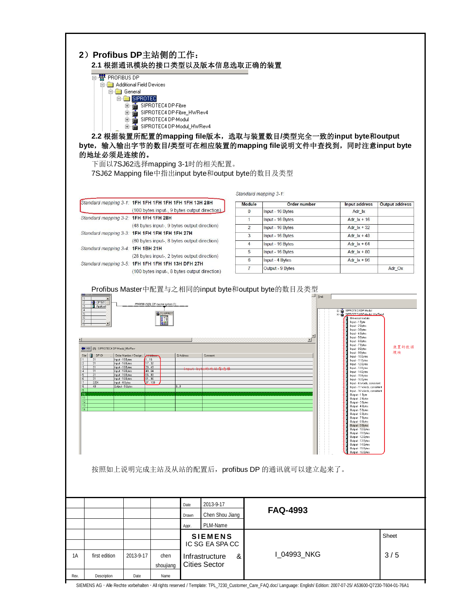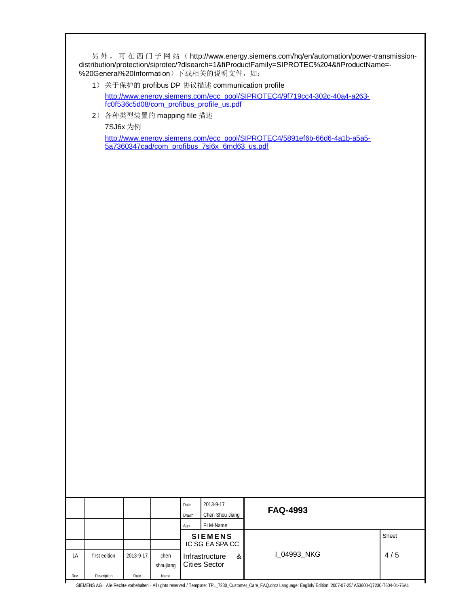另外, 可在西门子网站 (http://www.energy.siemens.com/hq/en/automation/power-transmissiondistribution/protection/siprotec/?dlsearch=1&fiProductFamily=SIPROTEC%204&fiProductName=- %20General%20Information) 下载相关的说明文件, 如:

- 1) 关于保护的 profibus DP 协议描述 communication profile http://www.energy.siemens.com/ecc\_pool/SIPROTEC4/9f719cc4-302c-40a4-a263 fc0f536c5d08/com\_profibus\_profile\_us.pdf
- 2) 各种类型装置的 mapping file 描述

7SJ6x 为例

http://www.energy.siemens.com/ecc\_pool/SIPROTEC4/5891ef6b-66d6-4a1b-a5a5- 5a7360347cad/com\_profibus\_7sj6x\_6md63\_us.pdf

|      |               |           |                   | Date<br>Drawn | 2013-9-17<br>Chen Shou Jiang           |   | <b>FAQ-4993</b> |       |
|------|---------------|-----------|-------------------|---------------|----------------------------------------|---|-----------------|-------|
|      |               |           |                   | Appr.         | PLM-Name                               |   |                 |       |
|      |               |           |                   |               | <b>SIEMENS</b>                         |   |                 | Sheet |
|      |               |           |                   |               | IC SG EA SPA CC                        |   |                 |       |
| 1A   | first edition | 2013-9-17 | chen<br>shoujiang |               | Infrastructure<br><b>Cities Sector</b> | & | 1 04993 NKG     | 4/5   |
| Rev. | Description   | Date      | Name              |               |                                        |   |                 |       |